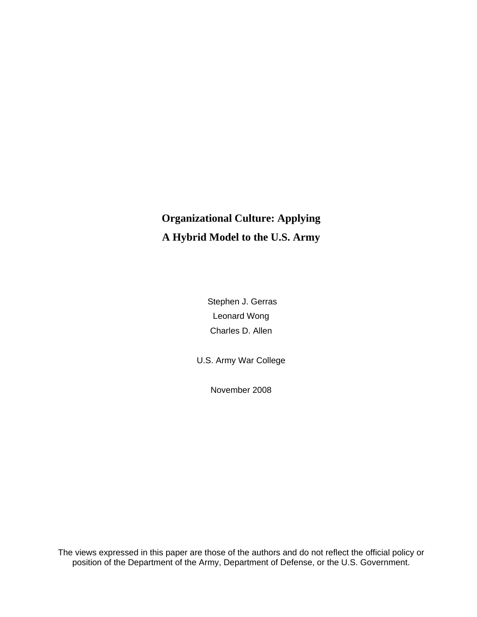# **Organizational Culture: Applying A Hybrid Model to the U.S. Army**

 Stephen J. Gerras Leonard Wong Charles D. Allen

U.S. Army War College

November 2008

The views expressed in this paper are those of the authors and do not reflect the official policy or position of the Department of the Army, Department of Defense, or the U.S. Government.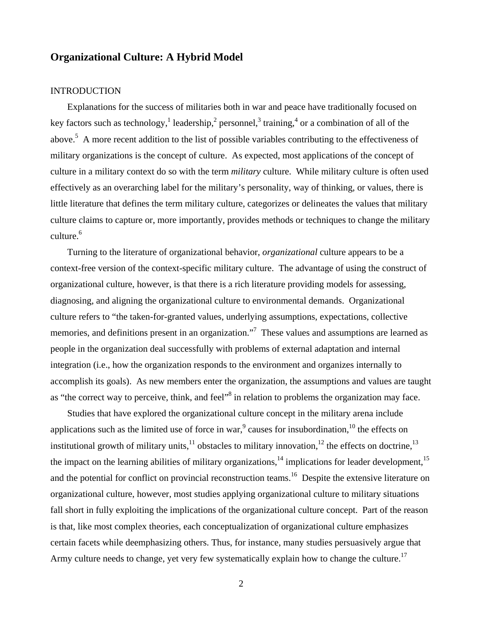# **Organizational Culture: A Hybrid Model**

#### INTRODUCTION

Explanations for the success of militaries both in war and peace have traditionally focused on key factors such as technology,<sup>1</sup> leadership,<sup>2</sup> personnel,<sup>3</sup> training,<sup>4</sup> or a combination of all of the above.<sup>5</sup> A more recent addition to the list of possible variables contributing to the effectiveness of military organizations is the concept of culture. As expected, most applications of the concept of culture in a military context do so with the term *military* culture. While military culture is often used effectively as an overarching label for the military's personality, way of thinking, or values, there is little literature that defines the term military culture, categorizes or delineates the values that military culture claims to capture or, more importantly, provides methods or techniques to change the military culture. $6$ 

Turning to the literature of organizational behavior, *organizational* culture appears to be a context-free version of the context-specific military culture. The advantage of using the construct of organizational culture, however, is that there is a rich literature providing models for assessing, diagnosing, and aligning the organizational culture to environmental demands. Organizational culture refers to "the taken-for-granted values, underlying assumptions, expectations, collective memories, and definitions present in an organization."<sup>7</sup> These values and assumptions are learned as people in the organization deal successfully with problems of external adaptation and internal integration (i.e., how the organization responds to the environment and organizes internally to accomplish its goals). As new members enter the organization, the assumptions and values are taught as "the correct way to perceive, think, and feel" $\delta$  in relation to problems the organization may face.

Studies that have explored the organizational culture concept in the military arena include applications such as the limited use of force in war,  $\degree$  causes for insubordination,  $\frac{10}{10}$  the effects on institutional growth of military units, $11$  obstacles to military innovation, $12$  the effects on doctrine,  $13$ the impact on the learning abilities of military organizations,<sup>14</sup> implications for leader development,<sup>15</sup> and the potential for conflict on provincial reconstruction teams.<sup>16</sup> Despite the extensive literature on organizational culture, however, most studies applying organizational culture to military situations fall short in fully exploiting the implications of the organizational culture concept. Part of the reason is that, like most complex theories, each conceptualization of organizational culture emphasizes certain facets while deemphasizing others. Thus, for instance, many studies persuasively argue that Army culture needs to change, yet very few systematically explain how to change the culture.<sup>17</sup>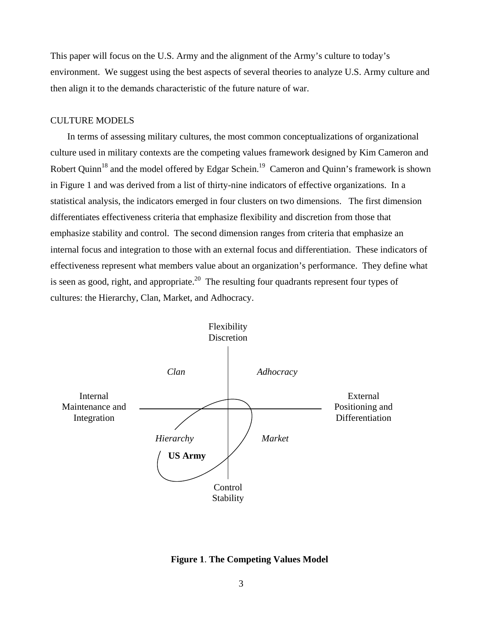This paper will focus on the U.S. Army and the alignment of the Army's culture to today's environment. We suggest using the best aspects of several theories to analyze U.S. Army culture and then align it to the demands characteristic of the future nature of war.

### CULTURE MODELS

In terms of assessing military cultures, the most common conceptualizations of organizational culture used in military contexts are the competing values framework designed by Kim Cameron and Robert Quinn<sup>18</sup> and the model offered by Edgar Schein.<sup>19</sup> Cameron and Quinn's framework is shown in Figure 1 and was derived from a list of thirty-nine indicators of effective organizations. In a statistical analysis, the indicators emerged in four clusters on two dimensions. The first dimension differentiates effectiveness criteria that emphasize flexibility and discretion from those that emphasize stability and control. The second dimension ranges from criteria that emphasize an internal focus and integration to those with an external focus and differentiation. These indicators of effectiveness represent what members value about an organization's performance. They define what is seen as good, right, and appropriate.<sup>20</sup> The resulting four quadrants represent four types of cultures: the Hierarchy, Clan, Market, and Adhocracy.



**Figure 1**. **The Competing Values Model**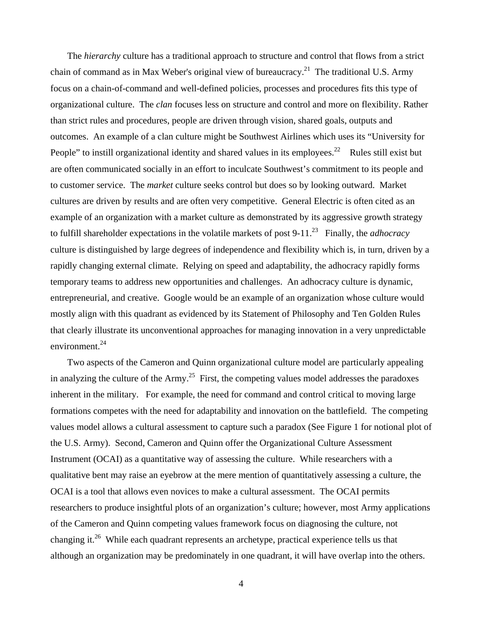The *hierarchy* culture has a traditional approach to structure and control that flows from a strict chain of command as in Max Weber's original view of bureaucracy.<sup>21</sup> The traditional U.S. Army focus on a chain-of-command and well-defined policies, processes and procedures fits this type of organizational culture. The *clan* focuses less on structure and control and more on flexibility. Rather than strict rules and procedures, people are driven through vision, shared goals, outputs and outcomes. An example of a clan culture might be Southwest Airlines which uses its "University for People" to instill organizational identity and shared values in its employees.<sup>22</sup> Rules still exist but are often communicated socially in an effort to inculcate Southwest's commitment to its people and to customer service. The *market* culture seeks control but does so by looking outward. Market cultures are driven by results and are often very competitive. General Electric is often cited as an example of an organization with a market culture as demonstrated by its aggressive growth strategy to fulfill shareholder expectations in the volatile markets of post 9-11.23 Finally, the *adhocracy* culture is distinguished by large degrees of independence and flexibility which is, in turn, driven by a rapidly changing external climate. Relying on speed and adaptability, the adhocracy rapidly forms temporary teams to address new opportunities and challenges. An adhocracy culture is dynamic, entrepreneurial, and creative. Google would be an example of an organization whose culture would mostly align with this quadrant as evidenced by its Statement of Philosophy and Ten Golden Rules that clearly illustrate its unconventional approaches for managing innovation in a very unpredictable environment. $^{24}$ 

Two aspects of the Cameron and Quinn organizational culture model are particularly appealing in analyzing the culture of the Army.<sup>25</sup> First, the competing values model addresses the paradoxes inherent in the military. For example, the need for command and control critical to moving large formations competes with the need for adaptability and innovation on the battlefield. The competing values model allows a cultural assessment to capture such a paradox (See Figure 1 for notional plot of the U.S. Army). Second, Cameron and Quinn offer the Organizational Culture Assessment Instrument (OCAI) as a quantitative way of assessing the culture. While researchers with a qualitative bent may raise an eyebrow at the mere mention of quantitatively assessing a culture, the OCAI is a tool that allows even novices to make a cultural assessment. The OCAI permits researchers to produce insightful plots of an organization's culture; however, most Army applications of the Cameron and Quinn competing values framework focus on diagnosing the culture, not changing it.<sup>26</sup> While each quadrant represents an archetype, practical experience tells us that although an organization may be predominately in one quadrant, it will have overlap into the others.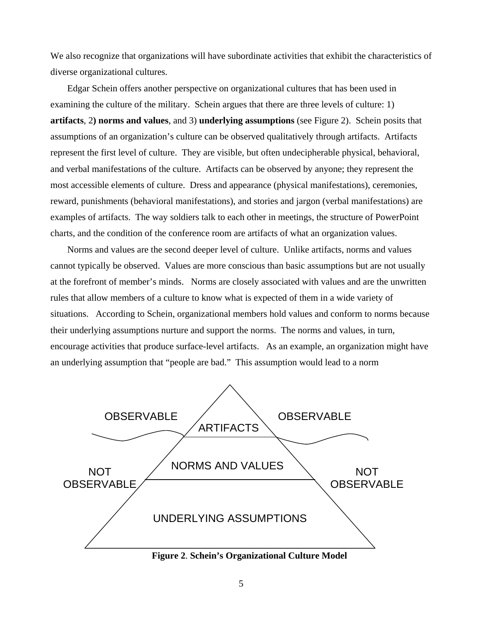We also recognize that organizations will have subordinate activities that exhibit the characteristics of diverse organizational cultures.

Edgar Schein offers another perspective on organizational cultures that has been used in examining the culture of the military. Schein argues that there are three levels of culture: 1) **artifacts**, 2**) norms and values**, and 3) **underlying assumptions** (see Figure 2). Schein posits that assumptions of an organization's culture can be observed qualitatively through artifacts. Artifacts represent the first level of culture. They are visible, but often undecipherable physical, behavioral, and verbal manifestations of the culture. Artifacts can be observed by anyone; they represent the most accessible elements of culture. Dress and appearance (physical manifestations), ceremonies, reward, punishments (behavioral manifestations), and stories and jargon (verbal manifestations) are examples of artifacts. The way soldiers talk to each other in meetings, the structure of PowerPoint charts, and the condition of the conference room are artifacts of what an organization values.

Norms and values are the second deeper level of culture. Unlike artifacts, norms and values cannot typically be observed. Values are more conscious than basic assumptions but are not usually at the forefront of member's minds. Norms are closely associated with values and are the unwritten rules that allow members of a culture to know what is expected of them in a wide variety of situations. According to Schein, organizational members hold values and conform to norms because their underlying assumptions nurture and support the norms. The norms and values, in turn, encourage activities that produce surface-level artifacts. As an example, an organization might have an underlying assumption that "people are bad." This assumption would lead to a norm



**Figure 2**. **Schein's Organizational Culture Model**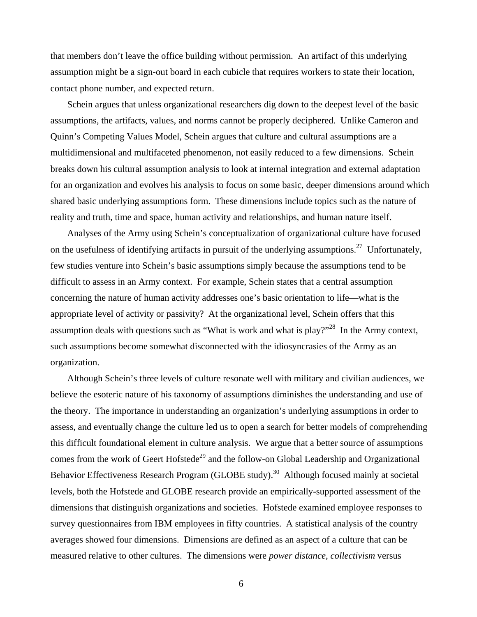that members don't leave the office building without permission. An artifact of this underlying assumption might be a sign-out board in each cubicle that requires workers to state their location, contact phone number, and expected return.

Schein argues that unless organizational researchers dig down to the deepest level of the basic assumptions, the artifacts, values, and norms cannot be properly deciphered. Unlike Cameron and Quinn's Competing Values Model, Schein argues that culture and cultural assumptions are a multidimensional and multifaceted phenomenon, not easily reduced to a few dimensions. Schein breaks down his cultural assumption analysis to look at internal integration and external adaptation for an organization and evolves his analysis to focus on some basic, deeper dimensions around which shared basic underlying assumptions form. These dimensions include topics such as the nature of reality and truth, time and space, human activity and relationships, and human nature itself.

Analyses of the Army using Schein's conceptualization of organizational culture have focused on the usefulness of identifying artifacts in pursuit of the underlying assumptions.<sup>27</sup> Unfortunately, few studies venture into Schein's basic assumptions simply because the assumptions tend to be difficult to assess in an Army context. For example, Schein states that a central assumption concerning the nature of human activity addresses one's basic orientation to life—what is the appropriate level of activity or passivity? At the organizational level, Schein offers that this assumption deals with questions such as "What is work and what is play?"<sup>28</sup> In the Army context, such assumptions become somewhat disconnected with the idiosyncrasies of the Army as an organization.

Although Schein's three levels of culture resonate well with military and civilian audiences, we believe the esoteric nature of his taxonomy of assumptions diminishes the understanding and use of the theory. The importance in understanding an organization's underlying assumptions in order to assess, and eventually change the culture led us to open a search for better models of comprehending this difficult foundational element in culture analysis. We argue that a better source of assumptions comes from the work of Geert Hofstede<sup>29</sup> and the follow-on Global Leadership and Organizational Behavior Effectiveness Research Program (GLOBE study).<sup>30</sup> Although focused mainly at societal levels, both the Hofstede and GLOBE research provide an empirically-supported assessment of the dimensions that distinguish organizations and societies. Hofstede examined employee responses to survey questionnaires from IBM employees in fifty countries. A statistical analysis of the country averages showed four dimensions. Dimensions are defined as an aspect of a culture that can be measured relative to other cultures. The dimensions were *power distance*, *collectivism* versus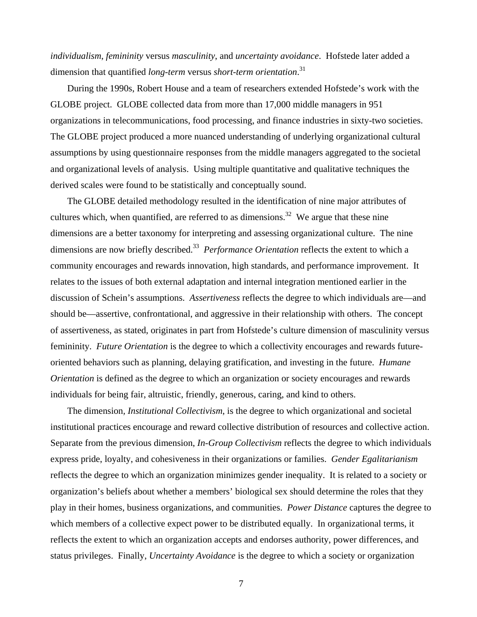*individualism*, *femininity* versus *masculinity*, and *uncertainty avoidance*. Hofstede later added a dimension that quantified *long-term* versus *short-term orientation*. 31

During the 1990s, Robert House and a team of researchers extended Hofstede's work with the GLOBE project. GLOBE collected data from more than 17,000 middle managers in 951 organizations in telecommunications, food processing, and finance industries in sixty-two societies. The GLOBE project produced a more nuanced understanding of underlying organizational cultural assumptions by using questionnaire responses from the middle managers aggregated to the societal and organizational levels of analysis. Using multiple quantitative and qualitative techniques the derived scales were found to be statistically and conceptually sound.

The GLOBE detailed methodology resulted in the identification of nine major attributes of cultures which, when quantified, are referred to as dimensions.<sup>32</sup> We argue that these nine dimensions are a better taxonomy for interpreting and assessing organizational culture. The nine dimensions are now briefly described.<sup>33</sup> *Performance Orientation* reflects the extent to which a community encourages and rewards innovation, high standards, and performance improvement. It relates to the issues of both external adaptation and internal integration mentioned earlier in the discussion of Schein's assumptions. *Assertiveness* reflects the degree to which individuals are—and should be—assertive, confrontational, and aggressive in their relationship with others. The concept of assertiveness, as stated, originates in part from Hofstede's culture dimension of masculinity versus femininity. *Future Orientation* is the degree to which a collectivity encourages and rewards futureoriented behaviors such as planning, delaying gratification, and investing in the future. *Humane Orientation* is defined as the degree to which an organization or society encourages and rewards individuals for being fair, altruistic, friendly, generous, caring, and kind to others.

The dimension*, Institutional Collectivism*, is the degree to which organizational and societal institutional practices encourage and reward collective distribution of resources and collective action. Separate from the previous dimension, *In-Group Collectivism* reflects the degree to which individuals express pride, loyalty, and cohesiveness in their organizations or families. *Gender Egalitarianism* reflects the degree to which an organization minimizes gender inequality. It is related to a society or organization's beliefs about whether a members' biological sex should determine the roles that they play in their homes, business organizations, and communities. *Power Distance* captures the degree to which members of a collective expect power to be distributed equally. In organizational terms, it reflects the extent to which an organization accepts and endorses authority, power differences, and status privileges. Finally, *Uncertainty Avoidance* is the degree to which a society or organization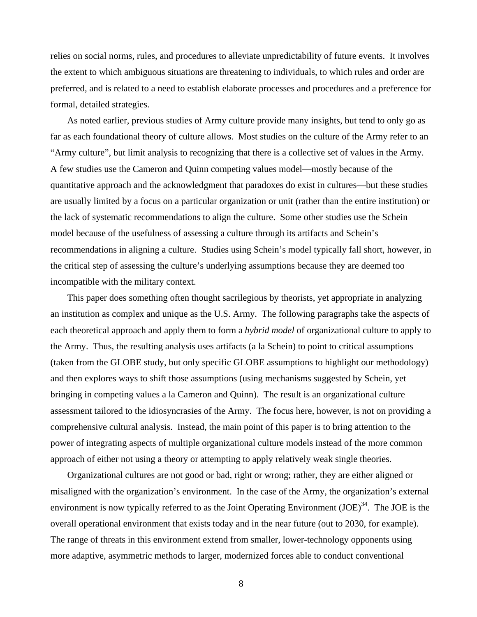relies on social norms, rules, and procedures to alleviate unpredictability of future events. It involves the extent to which ambiguous situations are threatening to individuals, to which rules and order are preferred, and is related to a need to establish elaborate processes and procedures and a preference for formal, detailed strategies.

As noted earlier, previous studies of Army culture provide many insights, but tend to only go as far as each foundational theory of culture allows. Most studies on the culture of the Army refer to an "Army culture", but limit analysis to recognizing that there is a collective set of values in the Army. A few studies use the Cameron and Quinn competing values model—mostly because of the quantitative approach and the acknowledgment that paradoxes do exist in cultures—but these studies are usually limited by a focus on a particular organization or unit (rather than the entire institution) or the lack of systematic recommendations to align the culture. Some other studies use the Schein model because of the usefulness of assessing a culture through its artifacts and Schein's recommendations in aligning a culture. Studies using Schein's model typically fall short, however, in the critical step of assessing the culture's underlying assumptions because they are deemed too incompatible with the military context.

This paper does something often thought sacrilegious by theorists, yet appropriate in analyzing an institution as complex and unique as the U.S. Army. The following paragraphs take the aspects of each theoretical approach and apply them to form a *hybrid model* of organizational culture to apply to the Army. Thus, the resulting analysis uses artifacts (a la Schein) to point to critical assumptions (taken from the GLOBE study, but only specific GLOBE assumptions to highlight our methodology) and then explores ways to shift those assumptions (using mechanisms suggested by Schein, yet bringing in competing values a la Cameron and Quinn). The result is an organizational culture assessment tailored to the idiosyncrasies of the Army. The focus here, however, is not on providing a comprehensive cultural analysis. Instead, the main point of this paper is to bring attention to the power of integrating aspects of multiple organizational culture models instead of the more common approach of either not using a theory or attempting to apply relatively weak single theories.

Organizational cultures are not good or bad, right or wrong; rather, they are either aligned or misaligned with the organization's environment. In the case of the Army, the organization's external environment is now typically referred to as the Joint Operating Environment  $(*JOE*)<sup>34</sup>$ . The JOE is the overall operational environment that exists today and in the near future (out to 2030, for example). The range of threats in this environment extend from smaller, lower-technology opponents using more adaptive, asymmetric methods to larger, modernized forces able to conduct conventional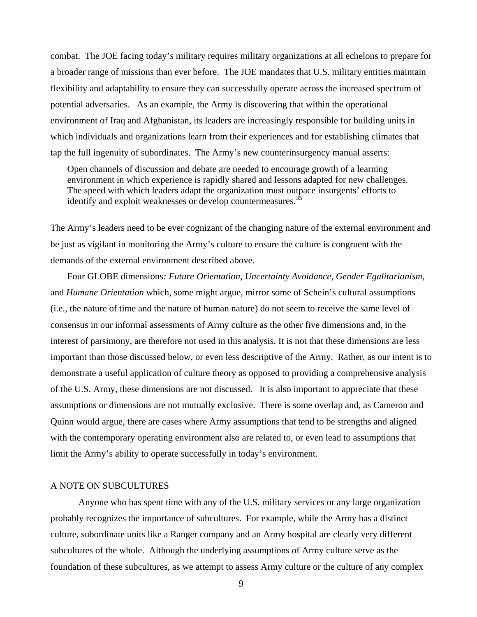combat. The JOE facing today's military requires military organizations at all echelons to prepare for a broader range of missions than ever before. The JOE mandates that U.S. military entities maintain flexibility and adaptability to ensure they can successfully operate across the increased spectrum of potential adversaries. As an example, the Army is discovering that within the operational environment of Iraq and Afghanistan, its leaders are increasingly responsible for building units in which individuals and organizations learn from their experiences and for establishing climates that tap the full ingenuity of subordinates. The Army's new counterinsurgency manual asserts:

Open channels of discussion and debate are needed to encourage growth of a learning environment in which experience is rapidly shared and lessons adapted for new challenges. The speed with which leaders adapt the organization must outpace insurgents' efforts to identify and exploit weaknesses or develop countermeasures.<sup>35</sup>

The Army's leaders need to be ever cognizant of the changing nature of the external environment and be just as vigilant in monitoring the Army's culture to ensure the culture is congruent with the demands of the external environment described above.

Four GLOBE dimensions*: Future Orientation, Uncertainty Avoidance, Gender Egalitarianism,*  and *Humane Orientation* which, some might argue, mirror some of Schein's cultural assumptions (i.e., the nature of time and the nature of human nature) do not seem to receive the same level of consensus in our informal assessments of Army culture as the other five dimensions and, in the interest of parsimony, are therefore not used in this analysis. It is not that these dimensions are less important than those discussed below, or even less descriptive of the Army. Rather, as our intent is to demonstrate a useful application of culture theory as opposed to providing a comprehensive analysis of the U.S. Army, these dimensions are not discussed. It is also important to appreciate that these assumptions or dimensions are not mutually exclusive. There is some overlap and, as Cameron and Quinn would argue, there are cases where Army assumptions that tend to be strengths and aligned with the contemporary operating environment also are related to, or even lead to assumptions that limit the Army's ability to operate successfully in today's environment.

#### A NOTE ON SUBCULTURES

Anyone who has spent time with any of the U.S. military services or any large organization probably recognizes the importance of subcultures. For example, while the Army has a distinct culture, subordinate units like a Ranger company and an Army hospital are clearly very different subcultures of the whole. Although the underlying assumptions of Army culture serve as the foundation of these subcultures, as we attempt to assess Army culture or the culture of any complex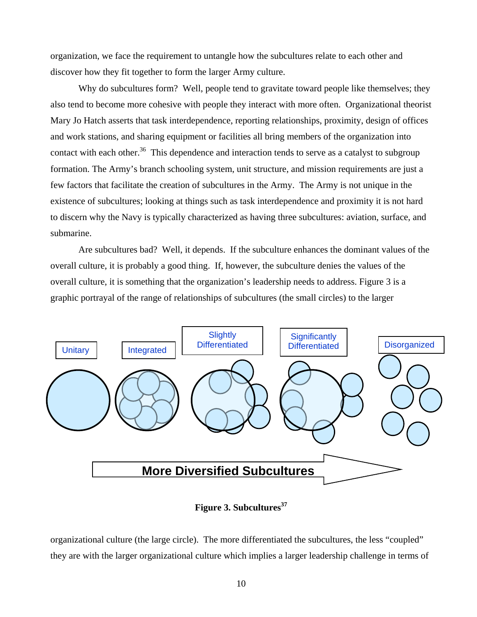organization, we face the requirement to untangle how the subcultures relate to each other and discover how they fit together to form the larger Army culture.

Why do subcultures form? Well, people tend to gravitate toward people like themselves; they also tend to become more cohesive with people they interact with more often. Organizational theorist Mary Jo Hatch asserts that task interdependence, reporting relationships, proximity, design of offices and work stations, and sharing equipment or facilities all bring members of the organization into contact with each other.<sup>36</sup> This dependence and interaction tends to serve as a catalyst to subgroup formation. The Army's branch schooling system, unit structure, and mission requirements are just a few factors that facilitate the creation of subcultures in the Army. The Army is not unique in the existence of subcultures; looking at things such as task interdependence and proximity it is not hard to discern why the Navy is typically characterized as having three subcultures: aviation, surface, and submarine.

Are subcultures bad? Well, it depends. If the subculture enhances the dominant values of the overall culture, it is probably a good thing. If, however, the subculture denies the values of the overall culture, it is something that the organization's leadership needs to address. Figure 3 is a graphic portrayal of the range of relationships of subcultures (the small circles) to the larger



**Figure 3. Subcultures**<sup>37</sup>

organizational culture (the large circle). The more differentiated the subcultures, the less "coupled" they are with the larger organizational culture which implies a larger leadership challenge in terms of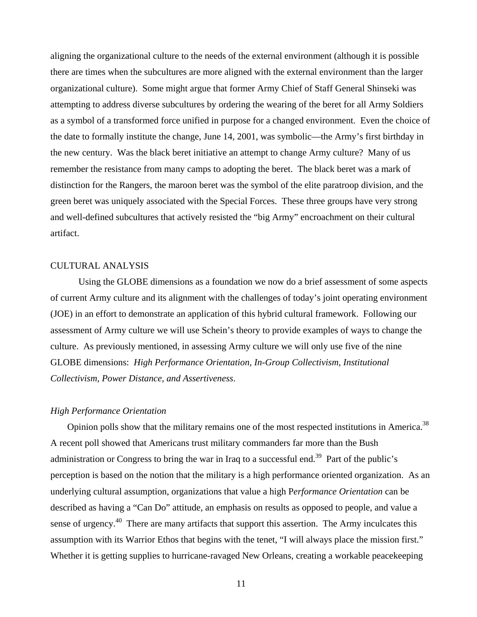aligning the organizational culture to the needs of the external environment (although it is possible there are times when the subcultures are more aligned with the external environment than the larger organizational culture). Some might argue that former Army Chief of Staff General Shinseki was attempting to address diverse subcultures by ordering the wearing of the beret for all Army Soldiers as a symbol of a transformed force unified in purpose for a changed environment. Even the choice of the date to formally institute the change, June 14, 2001, was symbolic—the Army's first birthday in the new century. Was the black beret initiative an attempt to change Army culture? Many of us remember the resistance from many camps to adopting the beret. The black beret was a mark of distinction for the Rangers, the maroon beret was the symbol of the elite paratroop division, and the green beret was uniquely associated with the Special Forces. These three groups have very strong and well-defined subcultures that actively resisted the "big Army" encroachment on their cultural artifact.

#### CULTURAL ANALYSIS

Using the GLOBE dimensions as a foundation we now do a brief assessment of some aspects of current Army culture and its alignment with the challenges of today's joint operating environment (JOE) in an effort to demonstrate an application of this hybrid cultural framework. Following our assessment of Army culture we will use Schein's theory to provide examples of ways to change the culture. As previously mentioned, in assessing Army culture we will only use five of the nine GLOBE dimensions: *High Performance Orientation, In-Group Collectivism, Institutional Collectivism, Power Distance, and Assertiveness*.

#### *High Performance Orientation*

Opinion polls show that the military remains one of the most respected institutions in America.<sup>38</sup> A recent poll showed that Americans trust military commanders far more than the Bush administration or Congress to bring the war in Iraq to a successful end.<sup>39</sup> Part of the public's perception is based on the notion that the military is a high performance oriented organization. As an underlying cultural assumption, organizations that value a high P*erformance Orientation* can be described as having a "Can Do" attitude, an emphasis on results as opposed to people, and value a sense of urgency.<sup>40</sup> There are many artifacts that support this assertion. The Army inculcates this assumption with its Warrior Ethos that begins with the tenet, "I will always place the mission first." Whether it is getting supplies to hurricane-ravaged New Orleans, creating a workable peacekeeping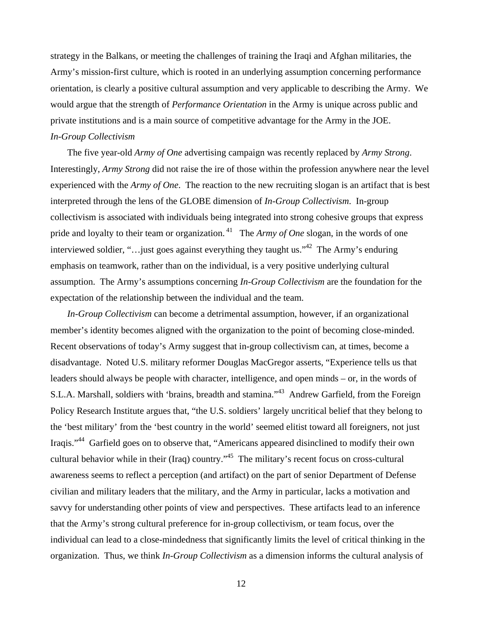strategy in the Balkans, or meeting the challenges of training the Iraqi and Afghan militaries, the Army's mission-first culture, which is rooted in an underlying assumption concerning performance orientation, is clearly a positive cultural assumption and very applicable to describing the Army. We would argue that the strength of *Performance Orientation* in the Army is unique across public and private institutions and is a main source of competitive advantage for the Army in the JOE. *In-Group Collectivism*

The five year-old *Army of One* advertising campaign was recently replaced by *Army Strong*. Interestingly, *Army Strong* did not raise the ire of those within the profession anywhere near the level experienced with the *Army of One*. The reaction to the new recruiting slogan is an artifact that is best interpreted through the lens of the GLOBE dimension of *In-Group Collectivism*. In-group collectivism is associated with individuals being integrated into strong cohesive groups that express pride and loyalty to their team or organization.<sup>41</sup> The *Army of One* slogan, in the words of one interviewed soldier, "…just goes against everything they taught us."<sup>42</sup> The Army's enduring emphasis on teamwork, rather than on the individual, is a very positive underlying cultural assumption. The Army's assumptions concerning *In-Group Collectivism* are the foundation for the expectation of the relationship between the individual and the team.

*In-Group Collectivism* can become a detrimental assumption, however, if an organizational member's identity becomes aligned with the organization to the point of becoming close-minded. Recent observations of today's Army suggest that in-group collectivism can, at times, become a disadvantage. Noted U.S. military reformer Douglas MacGregor asserts, "Experience tells us that leaders should always be people with character, intelligence, and open minds – or, in the words of S.L.A. Marshall, soldiers with 'brains, breadth and stamina."<sup>43</sup> Andrew Garfield, from the Foreign Policy Research Institute argues that, "the U.S. soldiers' largely uncritical belief that they belong to the 'best military' from the 'best country in the world' seemed elitist toward all foreigners, not just Iraqis."44 Garfield goes on to observe that, "Americans appeared disinclined to modify their own cultural behavior while in their (Iraq) country."45 The military's recent focus on cross-cultural awareness seems to reflect a perception (and artifact) on the part of senior Department of Defense civilian and military leaders that the military, and the Army in particular, lacks a motivation and savvy for understanding other points of view and perspectives. These artifacts lead to an inference that the Army's strong cultural preference for in-group collectivism, or team focus, over the individual can lead to a close-mindedness that significantly limits the level of critical thinking in the organization. Thus, we think *In-Group Collectivism* as a dimension informs the cultural analysis of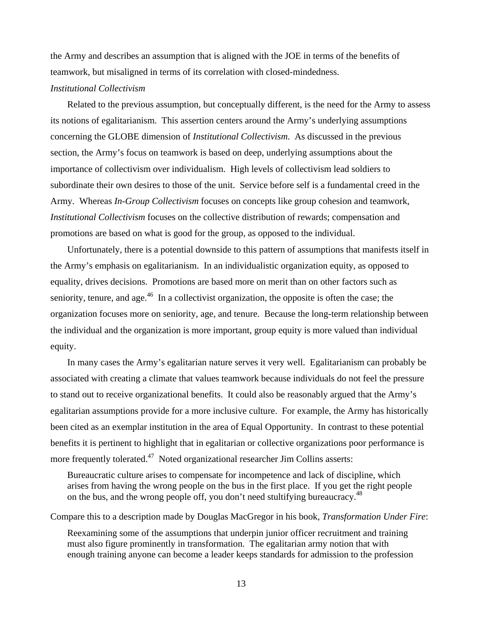the Army and describes an assumption that is aligned with the JOE in terms of the benefits of teamwork, but misaligned in terms of its correlation with closed-mindedness.

## *Institutional Collectivism*

Related to the previous assumption, but conceptually different, is the need for the Army to assess its notions of egalitarianism. This assertion centers around the Army's underlying assumptions concerning the GLOBE dimension of *Institutional Collectivism*. As discussed in the previous section, the Army's focus on teamwork is based on deep, underlying assumptions about the importance of collectivism over individualism. High levels of collectivism lead soldiers to subordinate their own desires to those of the unit. Service before self is a fundamental creed in the Army. Whereas *In-Group Collectivism* focuses on concepts like group cohesion and teamwork, *Institutional Collectivism* focuses on the collective distribution of rewards; compensation and promotions are based on what is good for the group, as opposed to the individual.

Unfortunately, there is a potential downside to this pattern of assumptions that manifests itself in the Army's emphasis on egalitarianism. In an individualistic organization equity, as opposed to equality, drives decisions. Promotions are based more on merit than on other factors such as seniority, tenure, and age.<sup>46</sup> In a collectivist organization, the opposite is often the case; the organization focuses more on seniority, age, and tenure. Because the long-term relationship between the individual and the organization is more important, group equity is more valued than individual equity.

In many cases the Army's egalitarian nature serves it very well. Egalitarianism can probably be associated with creating a climate that values teamwork because individuals do not feel the pressure to stand out to receive organizational benefits. It could also be reasonably argued that the Army's egalitarian assumptions provide for a more inclusive culture. For example, the Army has historically been cited as an exemplar institution in the area of Equal Opportunity. In contrast to these potential benefits it is pertinent to highlight that in egalitarian or collective organizations poor performance is more frequently tolerated.<sup>47</sup> Noted organizational researcher Jim Collins asserts:

Bureaucratic culture arises to compensate for incompetence and lack of discipline, which arises from having the wrong people on the bus in the first place. If you get the right people on the bus, and the wrong people off, you don't need stultifying bureaucracy.<sup>48</sup>

Compare this to a description made by Douglas MacGregor in his book, *Transformation Under Fire*:

Reexamining some of the assumptions that underpin junior officer recruitment and training must also figure prominently in transformation. The egalitarian army notion that with enough training anyone can become a leader keeps standards for admission to the profession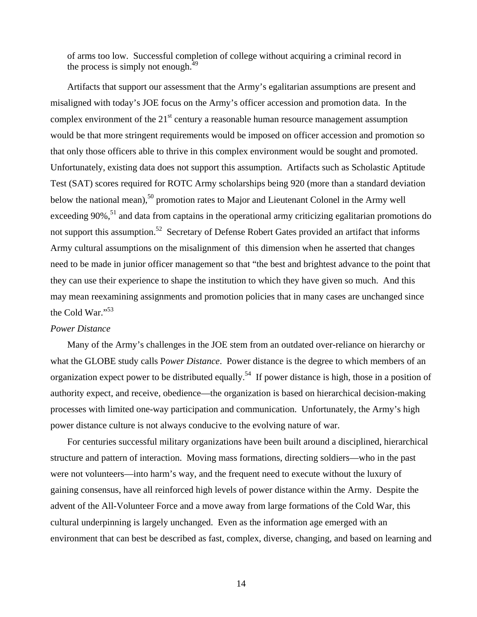of arms too low. Successful completion of college without acquiring a criminal record in the process is simply not enough. $^{49}$ 

Artifacts that support our assessment that the Army's egalitarian assumptions are present and misaligned with today's JOE focus on the Army's officer accession and promotion data. In the complex environment of the  $21<sup>st</sup>$  century a reasonable human resource management assumption would be that more stringent requirements would be imposed on officer accession and promotion so that only those officers able to thrive in this complex environment would be sought and promoted. Unfortunately, existing data does not support this assumption. Artifacts such as Scholastic Aptitude Test (SAT) scores required for ROTC Army scholarships being 920 (more than a standard deviation below the national mean),<sup>50</sup> promotion rates to Major and Lieutenant Colonel in the Army well exceeding 90%,<sup>51</sup> and data from captains in the operational army criticizing egalitarian promotions do not support this assumption.<sup>52</sup> Secretary of Defense Robert Gates provided an artifact that informs Army cultural assumptions on the misalignment of this dimension when he asserted that changes need to be made in junior officer management so that "the best and brightest advance to the point that they can use their experience to shape the institution to which they have given so much. And this may mean reexamining assignments and promotion policies that in many cases are unchanged since the Cold War."<sup>53</sup>

#### *Power Distance*

Many of the Army's challenges in the JOE stem from an outdated over-reliance on hierarchy or what the GLOBE study calls P*ower Distance*. Power distance is the degree to which members of an organization expect power to be distributed equally.<sup>54</sup> If power distance is high, those in a position of authority expect, and receive, obedience—the organization is based on hierarchical decision-making processes with limited one-way participation and communication. Unfortunately, the Army's high power distance culture is not always conducive to the evolving nature of war.

For centuries successful military organizations have been built around a disciplined, hierarchical structure and pattern of interaction. Moving mass formations, directing soldiers—who in the past were not volunteers—into harm's way, and the frequent need to execute without the luxury of gaining consensus, have all reinforced high levels of power distance within the Army. Despite the advent of the All-Volunteer Force and a move away from large formations of the Cold War, this cultural underpinning is largely unchanged. Even as the information age emerged with an environment that can best be described as fast, complex, diverse, changing, and based on learning and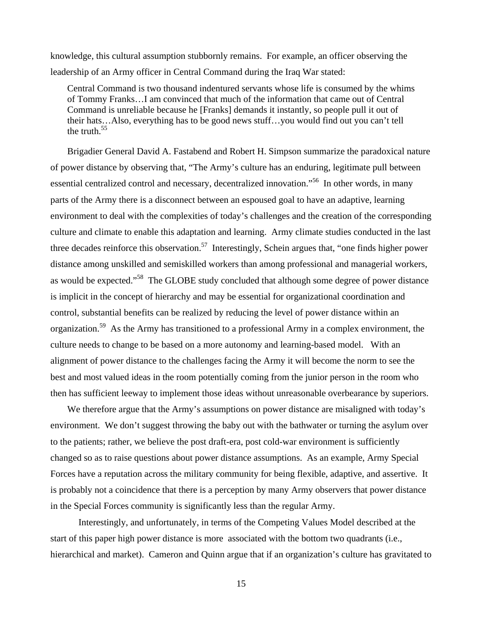knowledge, this cultural assumption stubbornly remains. For example, an officer observing the leadership of an Army officer in Central Command during the Iraq War stated:

Central Command is two thousand indentured servants whose life is consumed by the whims of Tommy Franks…I am convinced that much of the information that came out of Central Command is unreliable because he [Franks] demands it instantly, so people pull it out of their hats…Also, everything has to be good news stuff…you would find out you can't tell the truth. $55$ 

Brigadier General David A. Fastabend and Robert H. Simpson summarize the paradoxical nature of power distance by observing that, "The Army's culture has an enduring, legitimate pull between essential centralized control and necessary, decentralized innovation."<sup>56</sup> In other words, in many parts of the Army there is a disconnect between an espoused goal to have an adaptive, learning environment to deal with the complexities of today's challenges and the creation of the corresponding culture and climate to enable this adaptation and learning. Army climate studies conducted in the last three decades reinforce this observation.<sup>57</sup> Interestingly, Schein argues that, "one finds higher power distance among unskilled and semiskilled workers than among professional and managerial workers, as would be expected."58 The GLOBE study concluded that although some degree of power distance is implicit in the concept of hierarchy and may be essential for organizational coordination and control, substantial benefits can be realized by reducing the level of power distance within an organization.<sup>59</sup> As the Army has transitioned to a professional Army in a complex environment, the culture needs to change to be based on a more autonomy and learning-based model. With an alignment of power distance to the challenges facing the Army it will become the norm to see the best and most valued ideas in the room potentially coming from the junior person in the room who then has sufficient leeway to implement those ideas without unreasonable overbearance by superiors.

We therefore argue that the Army's assumptions on power distance are misaligned with today's environment. We don't suggest throwing the baby out with the bathwater or turning the asylum over to the patients; rather, we believe the post draft-era, post cold-war environment is sufficiently changed so as to raise questions about power distance assumptions. As an example, Army Special Forces have a reputation across the military community for being flexible, adaptive, and assertive. It is probably not a coincidence that there is a perception by many Army observers that power distance in the Special Forces community is significantly less than the regular Army.

 Interestingly, and unfortunately, in terms of the Competing Values Model described at the start of this paper high power distance is more associated with the bottom two quadrants (i.e., hierarchical and market). Cameron and Quinn argue that if an organization's culture has gravitated to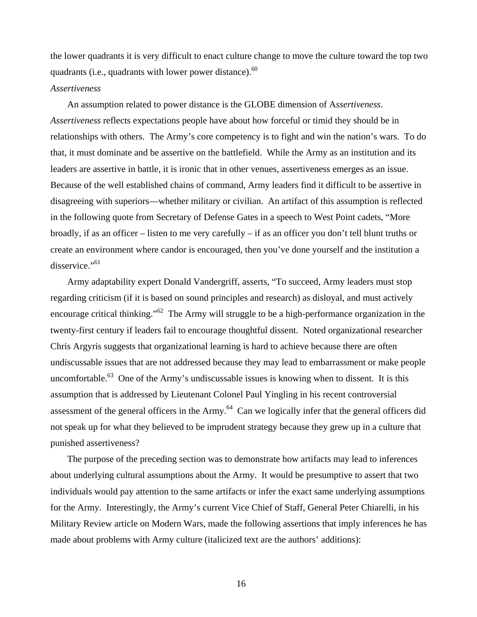the lower quadrants it is very difficult to enact culture change to move the culture toward the top two quadrants (i.e., quadrants with lower power distance).<sup>60</sup>

#### *Assertiveness*

An assumption related to power distance is the GLOBE dimension of A*ssertiveness*. *Assertiveness* reflects expectations people have about how forceful or timid they should be in relationships with others. The Army's core competency is to fight and win the nation's wars. To do that, it must dominate and be assertive on the battlefield. While the Army as an institution and its leaders are assertive in battle, it is ironic that in other venues, assertiveness emerges as an issue. Because of the well established chains of command, Army leaders find it difficult to be assertive in disagreeing with superiors—whether military or civilian. An artifact of this assumption is reflected in the following quote from Secretary of Defense Gates in a speech to West Point cadets, "More broadly, if as an officer – listen to me very carefully – if as an officer you don't tell blunt truths or create an environment where candor is encouraged, then you've done yourself and the institution a disservice."<sup>61</sup>

Army adaptability expert Donald Vandergriff, asserts, "To succeed, Army leaders must stop regarding criticism (if it is based on sound principles and research) as disloyal, and must actively encourage critical thinking."<sup>62</sup> The Army will struggle to be a high-performance organization in the twenty-first century if leaders fail to encourage thoughtful dissent. Noted organizational researcher Chris Argyris suggests that organizational learning is hard to achieve because there are often undiscussable issues that are not addressed because they may lead to embarrassment or make people uncomfortable.<sup>63</sup> One of the Army's undiscussable issues is knowing when to dissent. It is this assumption that is addressed by Lieutenant Colonel Paul Yingling in his recent controversial assessment of the general officers in the Army.<sup>64</sup> Can we logically infer that the general officers did not speak up for what they believed to be imprudent strategy because they grew up in a culture that punished assertiveness?

The purpose of the preceding section was to demonstrate how artifacts may lead to inferences about underlying cultural assumptions about the Army. It would be presumptive to assert that two individuals would pay attention to the same artifacts or infer the exact same underlying assumptions for the Army. Interestingly, the Army's current Vice Chief of Staff, General Peter Chiarelli, in his Military Review article on Modern Wars, made the following assertions that imply inferences he has made about problems with Army culture (italicized text are the authors' additions):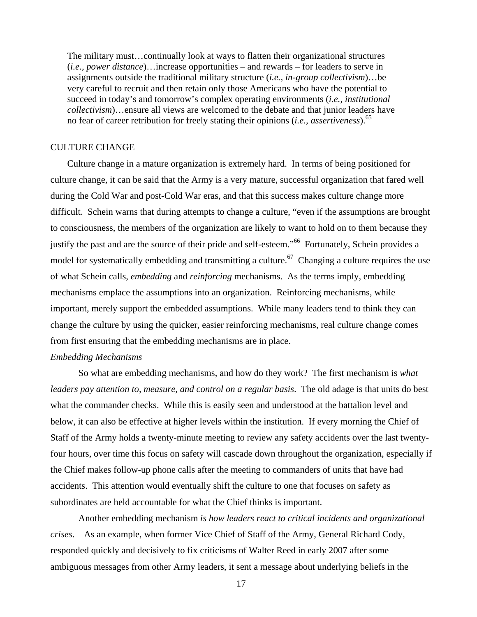The military must…continually look at ways to flatten their organizational structures (*i.e., power distance*)…increase opportunities – and rewards – for leaders to serve in assignments outside the traditional military structure (*i.e., in-group collectivism*)…be very careful to recruit and then retain only those Americans who have the potential to succeed in today's and tomorrow's complex operating environments (*i.e., institutional collectivism*)…ensure all views are welcomed to the debate and that junior leaders have no fear of career retribution for freely stating their opinions (*i.e., assertiveness*).65

#### CULTURE CHANGE

Culture change in a mature organization is extremely hard. In terms of being positioned for culture change, it can be said that the Army is a very mature, successful organization that fared well during the Cold War and post-Cold War eras, and that this success makes culture change more difficult. Schein warns that during attempts to change a culture, "even if the assumptions are brought to consciousness, the members of the organization are likely to want to hold on to them because they justify the past and are the source of their pride and self-esteem."<sup>66</sup> Fortunately, Schein provides a model for systematically embedding and transmitting a culture.<sup>67</sup> Changing a culture requires the use of what Schein calls, *embedding* and *reinforcing* mechanisms. As the terms imply, embedding mechanisms emplace the assumptions into an organization. Reinforcing mechanisms, while important, merely support the embedded assumptions. While many leaders tend to think they can change the culture by using the quicker, easier reinforcing mechanisms, real culture change comes from first ensuring that the embedding mechanisms are in place.

#### *Embedding Mechanisms*

So what are embedding mechanisms, and how do they work? The first mechanism is *what leaders pay attention to, measure, and control on a regular basis*. The old adage is that units do best what the commander checks. While this is easily seen and understood at the battalion level and below, it can also be effective at higher levels within the institution. If every morning the Chief of Staff of the Army holds a twenty-minute meeting to review any safety accidents over the last twentyfour hours, over time this focus on safety will cascade down throughout the organization, especially if the Chief makes follow-up phone calls after the meeting to commanders of units that have had accidents. This attention would eventually shift the culture to one that focuses on safety as subordinates are held accountable for what the Chief thinks is important.

 Another embedding mechanism *is how leaders react to critical incidents and organizational crises*. As an example, when former Vice Chief of Staff of the Army, General Richard Cody, responded quickly and decisively to fix criticisms of Walter Reed in early 2007 after some ambiguous messages from other Army leaders, it sent a message about underlying beliefs in the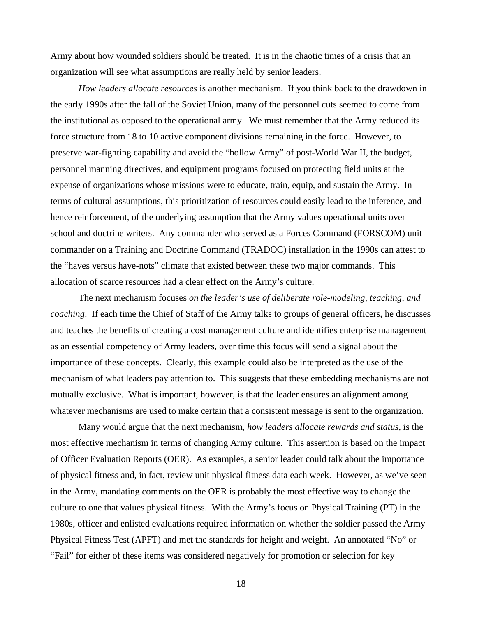Army about how wounded soldiers should be treated. It is in the chaotic times of a crisis that an organization will see what assumptions are really held by senior leaders.

*How leaders allocate resources* is another mechanism. If you think back to the drawdown in the early 1990s after the fall of the Soviet Union, many of the personnel cuts seemed to come from the institutional as opposed to the operational army. We must remember that the Army reduced its force structure from 18 to 10 active component divisions remaining in the force. However, to preserve war-fighting capability and avoid the "hollow Army" of post-World War II, the budget, personnel manning directives, and equipment programs focused on protecting field units at the expense of organizations whose missions were to educate, train, equip, and sustain the Army. In terms of cultural assumptions, this prioritization of resources could easily lead to the inference, and hence reinforcement, of the underlying assumption that the Army values operational units over school and doctrine writers. Any commander who served as a Forces Command (FORSCOM) unit commander on a Training and Doctrine Command (TRADOC) installation in the 1990s can attest to the "haves versus have-nots" climate that existed between these two major commands. This allocation of scarce resources had a clear effect on the Army's culture.

 The next mechanism focuses *on the leader's use of deliberate role-modeling, teaching, and coaching*. If each time the Chief of Staff of the Army talks to groups of general officers, he discusses and teaches the benefits of creating a cost management culture and identifies enterprise management as an essential competency of Army leaders, over time this focus will send a signal about the importance of these concepts. Clearly, this example could also be interpreted as the use of the mechanism of what leaders pay attention to. This suggests that these embedding mechanisms are not mutually exclusive. What is important, however, is that the leader ensures an alignment among whatever mechanisms are used to make certain that a consistent message is sent to the organization.

 Many would argue that the next mechanism, *how leaders allocate rewards and status*, is the most effective mechanism in terms of changing Army culture. This assertion is based on the impact of Officer Evaluation Reports (OER). As examples, a senior leader could talk about the importance of physical fitness and, in fact, review unit physical fitness data each week. However, as we've seen in the Army, mandating comments on the OER is probably the most effective way to change the culture to one that values physical fitness. With the Army's focus on Physical Training (PT) in the 1980s, officer and enlisted evaluations required information on whether the soldier passed the Army Physical Fitness Test (APFT) and met the standards for height and weight. An annotated "No" or "Fail" for either of these items was considered negatively for promotion or selection for key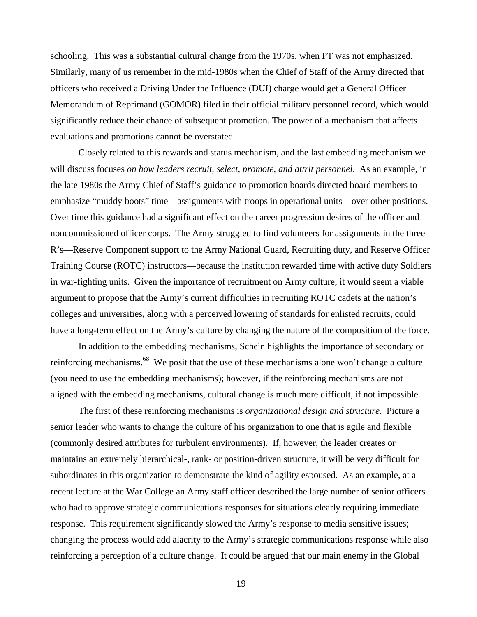schooling. This was a substantial cultural change from the 1970s, when PT was not emphasized. Similarly, many of us remember in the mid-1980s when the Chief of Staff of the Army directed that officers who received a Driving Under the Influence (DUI) charge would get a General Officer Memorandum of Reprimand (GOMOR) filed in their official military personnel record, which would significantly reduce their chance of subsequent promotion. The power of a mechanism that affects evaluations and promotions cannot be overstated.

 Closely related to this rewards and status mechanism, and the last embedding mechanism we will discuss focuses *on how leaders recruit, select, promote, and attrit personnel*. As an example, in the late 1980s the Army Chief of Staff's guidance to promotion boards directed board members to emphasize "muddy boots" time—assignments with troops in operational units—over other positions. Over time this guidance had a significant effect on the career progression desires of the officer and noncommissioned officer corps. The Army struggled to find volunteers for assignments in the three R's—Reserve Component support to the Army National Guard, Recruiting duty, and Reserve Officer Training Course (ROTC) instructors—because the institution rewarded time with active duty Soldiers in war-fighting units. Given the importance of recruitment on Army culture, it would seem a viable argument to propose that the Army's current difficulties in recruiting ROTC cadets at the nation's colleges and universities, along with a perceived lowering of standards for enlisted recruits, could have a long-term effect on the Army's culture by changing the nature of the composition of the force.

 In addition to the embedding mechanisms, Schein highlights the importance of secondary or reinforcing mechanisms.<sup>68</sup> We posit that the use of these mechanisms alone won't change a culture (you need to use the embedding mechanisms); however, if the reinforcing mechanisms are not aligned with the embedding mechanisms, cultural change is much more difficult, if not impossible.

 The first of these reinforcing mechanisms is *organizational design and structure*. Picture a senior leader who wants to change the culture of his organization to one that is agile and flexible (commonly desired attributes for turbulent environments). If, however, the leader creates or maintains an extremely hierarchical-, rank- or position-driven structure, it will be very difficult for subordinates in this organization to demonstrate the kind of agility espoused. As an example, at a recent lecture at the War College an Army staff officer described the large number of senior officers who had to approve strategic communications responses for situations clearly requiring immediate response. This requirement significantly slowed the Army's response to media sensitive issues; changing the process would add alacrity to the Army's strategic communications response while also reinforcing a perception of a culture change. It could be argued that our main enemy in the Global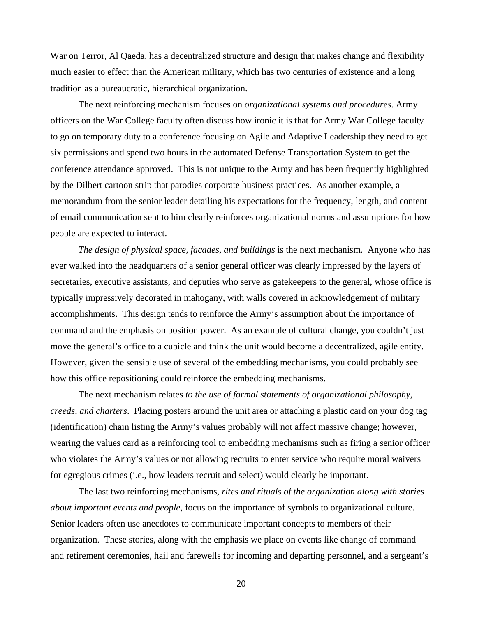War on Terror, Al Qaeda, has a decentralized structure and design that makes change and flexibility much easier to effect than the American military, which has two centuries of existence and a long tradition as a bureaucratic, hierarchical organization.

 The next reinforcing mechanism focuses on *organizational systems and procedures*. Army officers on the War College faculty often discuss how ironic it is that for Army War College faculty to go on temporary duty to a conference focusing on Agile and Adaptive Leadership they need to get six permissions and spend two hours in the automated Defense Transportation System to get the conference attendance approved. This is not unique to the Army and has been frequently highlighted by the Dilbert cartoon strip that parodies corporate business practices. As another example, a memorandum from the senior leader detailing his expectations for the frequency, length, and content of email communication sent to him clearly reinforces organizational norms and assumptions for how people are expected to interact.

*The design of physical space, facades, and buildings* is the next mechanism. Anyone who has ever walked into the headquarters of a senior general officer was clearly impressed by the layers of secretaries, executive assistants, and deputies who serve as gatekeepers to the general, whose office is typically impressively decorated in mahogany, with walls covered in acknowledgement of military accomplishments. This design tends to reinforce the Army's assumption about the importance of command and the emphasis on position power. As an example of cultural change, you couldn't just move the general's office to a cubicle and think the unit would become a decentralized, agile entity. However, given the sensible use of several of the embedding mechanisms, you could probably see how this office repositioning could reinforce the embedding mechanisms.

 The next mechanism relates *to the use of formal statements of organizational philosophy, creeds, and charters*. Placing posters around the unit area or attaching a plastic card on your dog tag (identification) chain listing the Army's values probably will not affect massive change; however, wearing the values card as a reinforcing tool to embedding mechanisms such as firing a senior officer who violates the Army's values or not allowing recruits to enter service who require moral waivers for egregious crimes (i.e., how leaders recruit and select) would clearly be important.

 The last two reinforcing mechanisms*, rites and rituals of the organization along with stories about important events and people*, focus on the importance of symbols to organizational culture. Senior leaders often use anecdotes to communicate important concepts to members of their organization. These stories, along with the emphasis we place on events like change of command and retirement ceremonies, hail and farewells for incoming and departing personnel, and a sergeant's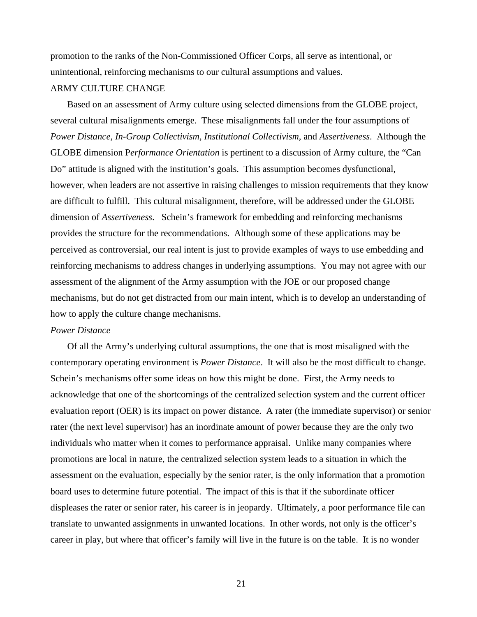promotion to the ranks of the Non-Commissioned Officer Corps, all serve as intentional, or unintentional, reinforcing mechanisms to our cultural assumptions and values.

### ARMY CULTURE CHANGE

Based on an assessment of Army culture using selected dimensions from the GLOBE project, several cultural misalignments emerge. These misalignments fall under the four assumptions of *Power Distance, In-Group Collectivism, Institutional Collectivism*, and *Assertiveness*. Although the GLOBE dimension P*erformance Orientation* is pertinent to a discussion of Army culture, the "Can Do" attitude is aligned with the institution's goals. This assumption becomes dysfunctional, however, when leaders are not assertive in raising challenges to mission requirements that they know are difficult to fulfill. This cultural misalignment, therefore, will be addressed under the GLOBE dimension of *Assertiveness*. Schein's framework for embedding and reinforcing mechanisms provides the structure for the recommendations. Although some of these applications may be perceived as controversial, our real intent is just to provide examples of ways to use embedding and reinforcing mechanisms to address changes in underlying assumptions. You may not agree with our assessment of the alignment of the Army assumption with the JOE or our proposed change mechanisms, but do not get distracted from our main intent, which is to develop an understanding of how to apply the culture change mechanisms.

#### *Power Distance*

Of all the Army's underlying cultural assumptions, the one that is most misaligned with the contemporary operating environment is *Power Distance*. It will also be the most difficult to change. Schein's mechanisms offer some ideas on how this might be done. First, the Army needs to acknowledge that one of the shortcomings of the centralized selection system and the current officer evaluation report (OER) is its impact on power distance. A rater (the immediate supervisor) or senior rater (the next level supervisor) has an inordinate amount of power because they are the only two individuals who matter when it comes to performance appraisal. Unlike many companies where promotions are local in nature, the centralized selection system leads to a situation in which the assessment on the evaluation, especially by the senior rater, is the only information that a promotion board uses to determine future potential. The impact of this is that if the subordinate officer displeases the rater or senior rater, his career is in jeopardy. Ultimately, a poor performance file can translate to unwanted assignments in unwanted locations. In other words, not only is the officer's career in play, but where that officer's family will live in the future is on the table. It is no wonder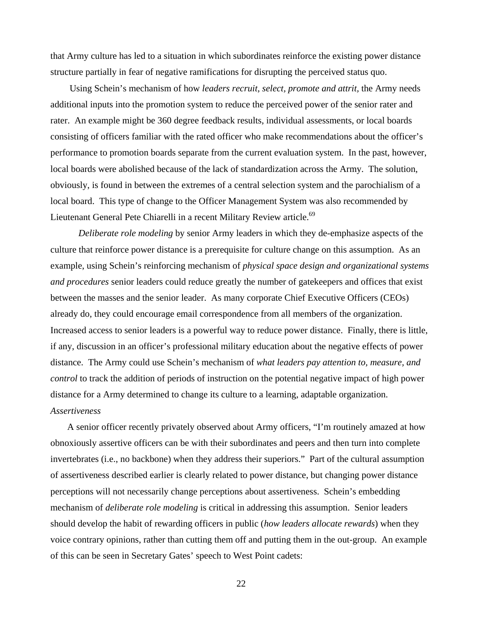that Army culture has led to a situation in which subordinates reinforce the existing power distance structure partially in fear of negative ramifications for disrupting the perceived status quo.

 Using Schein's mechanism of how *leaders recruit, select, promote and attrit,* the Army needs additional inputs into the promotion system to reduce the perceived power of the senior rater and rater. An example might be 360 degree feedback results, individual assessments, or local boards consisting of officers familiar with the rated officer who make recommendations about the officer's performance to promotion boards separate from the current evaluation system. In the past, however, local boards were abolished because of the lack of standardization across the Army. The solution, obviously, is found in between the extremes of a central selection system and the parochialism of a local board. This type of change to the Officer Management System was also recommended by Lieutenant General Pete Chiarelli in a recent Military Review article.<sup>69</sup>

*Deliberate role modeling* by senior Army leaders in which they de-emphasize aspects of the culture that reinforce power distance is a prerequisite for culture change on this assumption. As an example, using Schein's reinforcing mechanism of *physical space design and organizational systems and procedures* senior leaders could reduce greatly the number of gatekeepers and offices that exist between the masses and the senior leader. As many corporate Chief Executive Officers (CEOs) already do, they could encourage email correspondence from all members of the organization. Increased access to senior leaders is a powerful way to reduce power distance. Finally, there is little, if any, discussion in an officer's professional military education about the negative effects of power distance. The Army could use Schein's mechanism of *what leaders pay attention to, measure, and control* to track the addition of periods of instruction on the potential negative impact of high power distance for a Army determined to change its culture to a learning, adaptable organization. *Assertiveness*

A senior officer recently privately observed about Army officers, "I'm routinely amazed at how obnoxiously assertive officers can be with their subordinates and peers and then turn into complete invertebrates (i.e., no backbone) when they address their superiors." Part of the cultural assumption of assertiveness described earlier is clearly related to power distance, but changing power distance perceptions will not necessarily change perceptions about assertiveness. Schein's embedding mechanism of *deliberate role modeling* is critical in addressing this assumption. Senior leaders should develop the habit of rewarding officers in public (*how leaders allocate rewards*) when they voice contrary opinions, rather than cutting them off and putting them in the out-group. An example of this can be seen in Secretary Gates' speech to West Point cadets: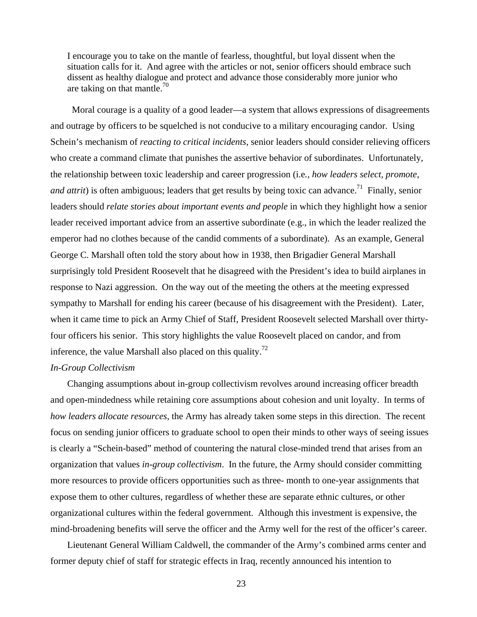I encourage you to take on the mantle of fearless, thoughtful, but loyal dissent when the situation calls for it. And agree with the articles or not, senior officers should embrace such dissent as healthy dialogue and protect and advance those considerably more junior who are taking on that mantle.<sup>70</sup>

 Moral courage is a quality of a good leader—a system that allows expressions of disagreements and outrage by officers to be squelched is not conducive to a military encouraging candor. Using Schein's mechanism of *reacting to critical incidents,* senior leaders should consider relieving officers who create a command climate that punishes the assertive behavior of subordinates. Unfortunately, the relationship between toxic leadership and career progression (i.e*., how leaders select, promote, and attrit*) is often ambiguous; leaders that get results by being toxic can advance.<sup>71</sup> Finally, senior leaders should *relate stories about important events and people* in which they highlight how a senior leader received important advice from an assertive subordinate (e.g., in which the leader realized the emperor had no clothes because of the candid comments of a subordinate). As an example, General George C. Marshall often told the story about how in 1938, then Brigadier General Marshall surprisingly told President Roosevelt that he disagreed with the President's idea to build airplanes in response to Nazi aggression. On the way out of the meeting the others at the meeting expressed sympathy to Marshall for ending his career (because of his disagreement with the President). Later, when it came time to pick an Army Chief of Staff, President Roosevelt selected Marshall over thirtyfour officers his senior. This story highlights the value Roosevelt placed on candor, and from inference, the value Marshall also placed on this quality.<sup>72</sup>

#### *In-Group Collectivism*

Changing assumptions about in-group collectivism revolves around increasing officer breadth and open-mindedness while retaining core assumptions about cohesion and unit loyalty. In terms of *how leaders allocate resources*, the Army has already taken some steps in this direction. The recent focus on sending junior officers to graduate school to open their minds to other ways of seeing issues is clearly a "Schein-based" method of countering the natural close-minded trend that arises from an organization that values *in-group collectivism*. In the future, the Army should consider committing more resources to provide officers opportunities such as three- month to one-year assignments that expose them to other cultures, regardless of whether these are separate ethnic cultures, or other organizational cultures within the federal government. Although this investment is expensive, the mind-broadening benefits will serve the officer and the Army well for the rest of the officer's career.

Lieutenant General William Caldwell, the commander of the Army's combined arms center and former deputy chief of staff for strategic effects in Iraq, recently announced his intention to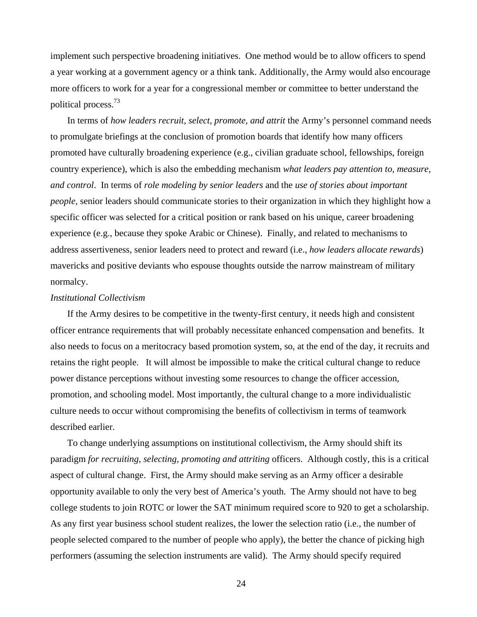implement such perspective broadening initiatives. One method would be to allow officers to spend a year working at a government agency or a think tank. Additionally, the Army would also encourage more officers to work for a year for a congressional member or committee to better understand the political process.73

In terms of *how leaders recruit, select, promote, and attrit* the Army's personnel command needs to promulgate briefings at the conclusion of promotion boards that identify how many officers promoted have culturally broadening experience (e.g., civilian graduate school, fellowships, foreign country experience), which is also the embedding mechanism *what leaders pay attention to, measure, and control*. In terms of *role modeling by senior leaders* and the *use of stories about important people,* senior leaders should communicate stories to their organization in which they highlight how a specific officer was selected for a critical position or rank based on his unique, career broadening experience (e.g., because they spoke Arabic or Chinese). Finally, and related to mechanisms to address assertiveness, senior leaders need to protect and reward (i.e., *how leaders allocate rewards*) mavericks and positive deviants who espouse thoughts outside the narrow mainstream of military normalcy.

#### *Institutional Collectivism*

If the Army desires to be competitive in the twenty-first century, it needs high and consistent officer entrance requirements that will probably necessitate enhanced compensation and benefits. It also needs to focus on a meritocracy based promotion system, so, at the end of the day, it recruits and retains the right people. It will almost be impossible to make the critical cultural change to reduce power distance perceptions without investing some resources to change the officer accession, promotion, and schooling model. Most importantly, the cultural change to a more individualistic culture needs to occur without compromising the benefits of collectivism in terms of teamwork described earlier.

To change underlying assumptions on institutional collectivism, the Army should shift its paradigm *for recruiting, selecting, promoting and attriting* officers. Although costly, this is a critical aspect of cultural change. First, the Army should make serving as an Army officer a desirable opportunity available to only the very best of America's youth. The Army should not have to beg college students to join ROTC or lower the SAT minimum required score to 920 to get a scholarship. As any first year business school student realizes, the lower the selection ratio (i.e., the number of people selected compared to the number of people who apply), the better the chance of picking high performers (assuming the selection instruments are valid). The Army should specify required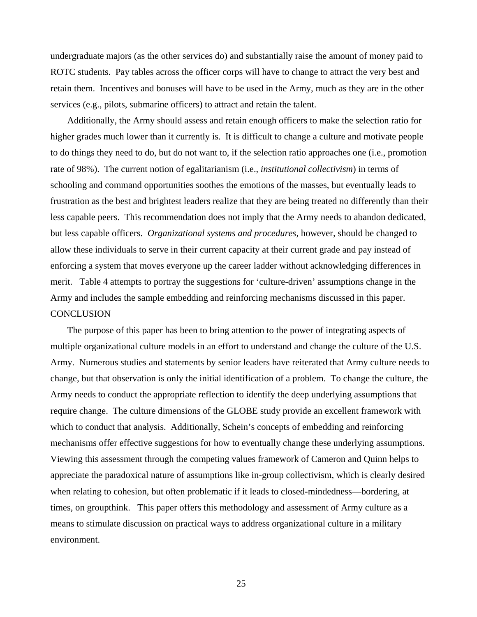undergraduate majors (as the other services do) and substantially raise the amount of money paid to ROTC students. Pay tables across the officer corps will have to change to attract the very best and retain them. Incentives and bonuses will have to be used in the Army, much as they are in the other services (e.g., pilots, submarine officers) to attract and retain the talent.

Additionally, the Army should assess and retain enough officers to make the selection ratio for higher grades much lower than it currently is. It is difficult to change a culture and motivate people to do things they need to do, but do not want to, if the selection ratio approaches one (i.e., promotion rate of 98%). The current notion of egalitarianism (i.e., *institutional collectivism*) in terms of schooling and command opportunities soothes the emotions of the masses, but eventually leads to frustration as the best and brightest leaders realize that they are being treated no differently than their less capable peers. This recommendation does not imply that the Army needs to abandon dedicated, but less capable officers. *Organizational systems and procedures,* however*,* should be changed to allow these individuals to serve in their current capacity at their current grade and pay instead of enforcing a system that moves everyone up the career ladder without acknowledging differences in merit. Table 4 attempts to portray the suggestions for 'culture-driven' assumptions change in the Army and includes the sample embedding and reinforcing mechanisms discussed in this paper. **CONCLUSION** 

The purpose of this paper has been to bring attention to the power of integrating aspects of multiple organizational culture models in an effort to understand and change the culture of the U.S. Army. Numerous studies and statements by senior leaders have reiterated that Army culture needs to change, but that observation is only the initial identification of a problem. To change the culture, the Army needs to conduct the appropriate reflection to identify the deep underlying assumptions that require change. The culture dimensions of the GLOBE study provide an excellent framework with which to conduct that analysis. Additionally, Schein's concepts of embedding and reinforcing mechanisms offer effective suggestions for how to eventually change these underlying assumptions. Viewing this assessment through the competing values framework of Cameron and Quinn helps to appreciate the paradoxical nature of assumptions like in-group collectivism, which is clearly desired when relating to cohesion, but often problematic if it leads to closed-mindedness—bordering, at times, on groupthink. This paper offers this methodology and assessment of Army culture as a means to stimulate discussion on practical ways to address organizational culture in a military environment.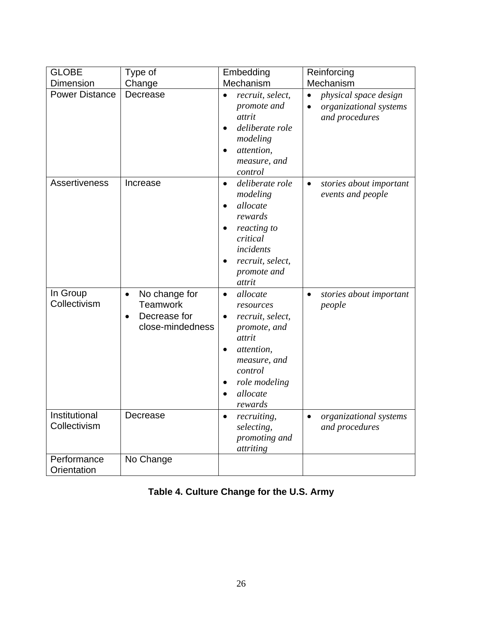| <b>GLOBE</b>                  | Type of                                                                           | Embedding                                                                                                                                                         | Reinforcing                                                       |
|-------------------------------|-----------------------------------------------------------------------------------|-------------------------------------------------------------------------------------------------------------------------------------------------------------------|-------------------------------------------------------------------|
| <b>Dimension</b>              | Change                                                                            | Mechanism                                                                                                                                                         | Mechanism                                                         |
| <b>Power Distance</b>         | Decrease                                                                          | recruit, select,<br>promote and<br>attrit<br>deliberate role<br>modeling<br>attention,<br>measure, and<br>control                                                 | physical space design<br>organizational systems<br>and procedures |
| Assertiveness                 | Increase                                                                          | deliberate role<br>$\bullet$<br>modeling<br>allocate<br>rewards<br>reacting to<br>critical<br>incidents<br>recruit, select,<br>promote and<br>attrit              | stories about important<br>$\bullet$<br>events and people         |
| In Group<br>Collectivism      | No change for<br>$\bullet$<br><b>Teamwork</b><br>Decrease for<br>close-mindedness | allocate<br>$\bullet$<br>resources<br>recruit, select,<br>promote, and<br>attrit<br>attention,<br>measure, and<br>control<br>role modeling<br>allocate<br>rewards | stories about important<br>٠<br>people                            |
| Institutional<br>Collectivism | Decrease                                                                          | <i>recruiting,</i><br>selecting,<br>promoting and<br>attriting                                                                                                    | organizational systems<br>and procedures                          |
| Performance<br>Orientation    | No Change                                                                         |                                                                                                                                                                   |                                                                   |

# **Table 4. Culture Change for the U.S. Army**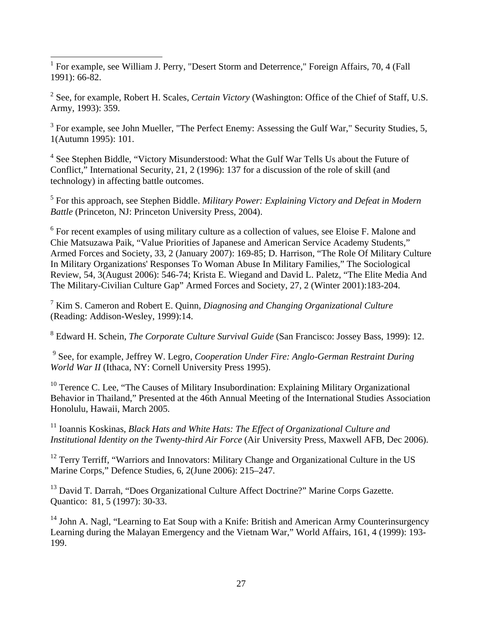<sup>1</sup> For example, see William J. Perry, "Desert Storm and Deterrence," Foreign Affairs, 70, 4 (Fall 1991): 66-82.

2 See, for example, Robert H. Scales, *Certain Victory* (Washington: Office of the Chief of Staff, U.S. Army, 1993): 359.

 $3$  For example, see John Mueller, "The Perfect Enemy: Assessing the Gulf War," Security Studies, 5, 1(Autumn 1995): 101.

<sup>4</sup> See Stephen Biddle, "Victory Misunderstood: What the Gulf War Tells Us about the Future of Conflict," International Security, 21, 2 (1996): 137 for a discussion of the role of skill (and technology) in affecting battle outcomes.

5 For this approach, see Stephen Biddle. *Military Power: Explaining Victory and Defeat in Modern Battle* (Princeton, NJ: Princeton University Press, 2004).

 $6$  For recent examples of using military culture as a collection of values, see Eloise F. Malone and Chie Matsuzawa Paik, "Value Priorities of Japanese and American Service Academy Students," Armed Forces and Society, 33, 2 (January 2007): 169-85; D. Harrison, "The Role Of Military Culture In Military Organizations' Responses To Woman Abuse In Military Families," The Sociological Review, 54, 3(August 2006): 546-74; Krista E. Wiegand and David L. Paletz, "The Elite Media And The Military-Civilian Culture Gap" Armed Forces and Society, 27, 2 (Winter 2001):183-204.

7 Kim S. Cameron and Robert E. Quinn, *Diagnosing and Changing Organizational Culture* (Reading: Addison-Wesley, 1999):14.

8 Edward H. Schein, *The Corporate Culture Survival Guide* (San Francisco: Jossey Bass, 1999): 12.

9 See, for example, Jeffrey W. Legro, *Cooperation Under Fire: Anglo-German Restraint During World War II* (Ithaca, NY: Cornell University Press 1995).

<sup>10</sup> Terence C. Lee, "The Causes of Military Insubordination: Explaining Military Organizational Behavior in Thailand," Presented at the 46th Annual Meeting of the International Studies Association Honolulu, Hawaii, March 2005.

11 Ioannis Koskinas, *Black Hats and White Hats: The Effect of Organizational Culture and Institutional Identity on the Twenty-third Air Force* (Air University Press, Maxwell AFB, Dec 2006).

<sup>12</sup> Terry Terriff, "Warriors and Innovators: Military Change and Organizational Culture in the US Marine Corps," Defence Studies, 6, 2(June 2006): 215–247.

<sup>13</sup> David T. Darrah, "Does Organizational Culture Affect Doctrine?" Marine Corps Gazette. Quantico: 81, 5 (1997): 30-33.

<sup>14</sup> John A. Nagl, "Learning to Eat Soup with a Knife: British and American Army Counterinsurgency Learning during the Malayan Emergency and the Vietnam War," World Affairs, 161, 4 (1999): 193- 199.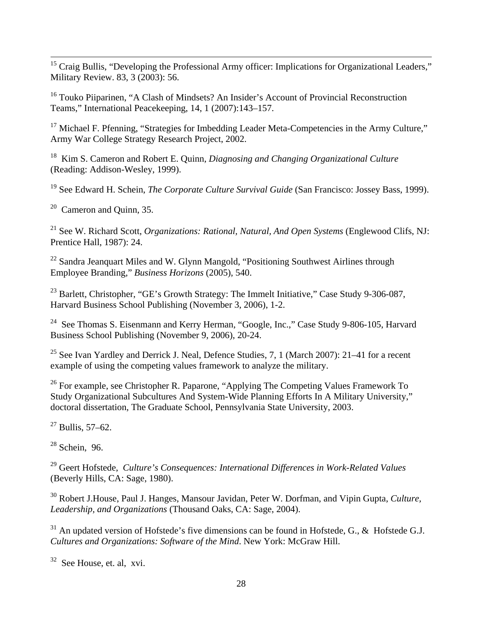<sup>15</sup> Craig Bullis, "Developing the Professional Army officer: Implications for Organizational Leaders," Military Review. 83, 3 (2003): 56.

<sup>16</sup> Touko Piiparinen, "A Clash of Mindsets? An Insider's Account of Provincial Reconstruction Teams," International Peacekeeping, 14, 1 (2007):143–157.

<sup>17</sup> Michael F. Pfenning, "Strategies for Imbedding Leader Meta-Competencies in the Army Culture," Army War College Strategy Research Project, 2002.

18 Kim S. Cameron and Robert E. Quinn, *Diagnosing and Changing Organizational Culture* (Reading: Addison-Wesley, 1999).

19 See Edward H. Schein, *The Corporate Culture Survival Guide* (San Francisco: Jossey Bass, 1999).

 $20$  Cameron and Ouinn, 35.

21 See W. Richard Scott, *Organizations: Rational, Natural, And Open Systems* (Englewood Clifs, NJ: Prentice Hall, 1987): 24.

 $22$  Sandra Jeanquart Miles and W. Glynn Mangold, "Positioning Southwest Airlines through Employee Branding," *Business Horizons* (2005), 540.

 $^{23}$  Barlett, Christopher, "GE's Growth Strategy: The Immelt Initiative," Case Study 9-306-087, Harvard Business School Publishing (November 3, 2006), 1-2.

<sup>24</sup> See Thomas S. Eisenmann and Kerry Herman, "Google, Inc.," Case Study 9-806-105, Harvard Business School Publishing (November 9, 2006), 20-24.

<sup>25</sup> See Ivan Yardley and Derrick J. Neal, Defence Studies, 7, 1 (March 2007): 21–41 for a recent example of using the competing values framework to analyze the military.

<sup>26</sup> For example, see Christopher R. Paparone, "Applying The Competing Values Framework To Study Organizational Subcultures And System-Wide Planning Efforts In A Military University," doctoral dissertation, The Graduate School, Pennsylvania State University, 2003.

 $27$  Bullis, 57–62.

 $28$  Schein, 96.

29 Geert Hofstede, *Culture's Consequences: International Differences in Work-Related Values* (Beverly Hills, CA: Sage, 1980).

30 Robert J.House, Paul J. Hanges, Mansour Javidan, Peter W. Dorfman, and Vipin Gupta, *Culture, Leadership, and Organizations* (Thousand Oaks, CA: Sage, 2004).

 $31$  An updated version of Hofstede's five dimensions can be found in Hofstede, G., & Hofstede G.J. *Cultures and Organizations: Software of the Mind*. New York: McGraw Hill.

 $32$  See House, et. al, xvi.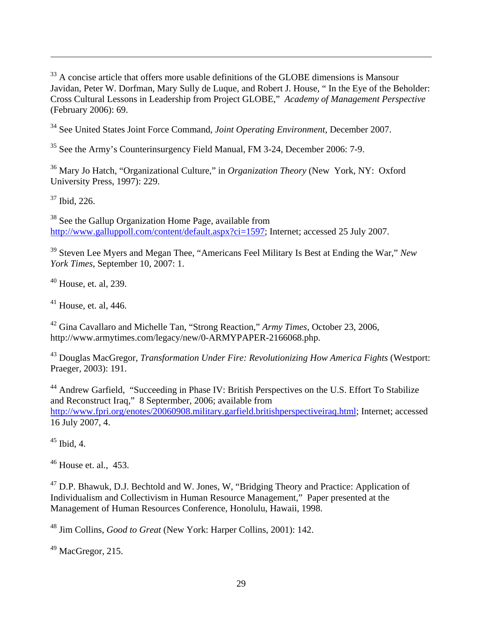<sup>33</sup> A concise article that offers more usable definitions of the GLOBE dimensions is Mansour Javidan, Peter W. Dorfman, Mary Sully de Luque, and Robert J. House, " In the Eye of the Beholder: Cross Cultural Lessons in Leadership from Project GLOBE," *Academy of Management Perspective* (February 2006): 69.

34 See United States Joint Force Command, *Joint Operating Environment*, December 2007.

35 See the Army's Counterinsurgency Field Manual, FM 3-24, December 2006: 7-9.

36 Mary Jo Hatch, "Organizational Culture," in *Organization Theory* (New York, NY: Oxford University Press, 1997): 229.

37 Ibid, 226.

1

<sup>38</sup> See the Gallup Organization Home Page, available from http://www.galluppoll.com/content/default.aspx?ci=1597; Internet; accessed 25 July 2007.

39 Steven Lee Myers and Megan Thee, "Americans Feel Military Is Best at Ending the War," *New York Times*, September 10, 2007: 1.

 $40$  House, et. al, 239.

 $41$  House, et. al, 446.

42 Gina Cavallaro and Michelle Tan, "Strong Reaction," *Army Times*, October 23, 2006, http://www.armytimes.com/legacy/new/0-ARMYPAPER-2166068.php.

43 Douglas MacGregor, *Transformation Under Fire: Revolutionizing How America Fights* (Westport: Praeger*,* 2003): 191.

44 Andrew Garfield, "Succeeding in Phase IV: British Perspectives on the U.S. Effort To Stabilize and Reconstruct Iraq," 8 Septermber, 2006; available from http://www.fpri.org/enotes/20060908.military.garfield.britishperspectiveiraq.html; Internet; accessed 16 July 2007, 4.

 $45$  Ibid, 4.

 $46$  House et. al., 453.

<sup>47</sup> D.P. Bhawuk, D.J. Bechtold and W. Jones, W. "Bridging Theory and Practice: Application of Individualism and Collectivism in Human Resource Management," Paper presented at the Management of Human Resources Conference, Honolulu, Hawaii, 1998.

48 Jim Collins, *Good to Great* (New York: Harper Collins, 2001): 142.

 $49$  MacGregor, 215.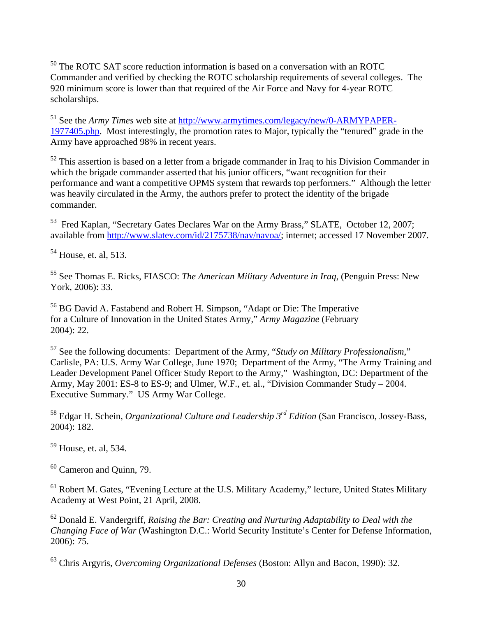50 The ROTC SAT score reduction information is based on a conversation with an ROTC Commander and verified by checking the ROTC scholarship requirements of several colleges. The 920 minimum score is lower than that required of the Air Force and Navy for 4-year ROTC scholarships.

51 See the *Army Times* web site at http://www.armytimes.com/legacy/new/0-ARMYPAPER-1977405.php. Most interestingly, the promotion rates to Major, typically the "tenured" grade in the Army have approached 98% in recent years.

 $52$  This assertion is based on a letter from a brigade commander in Iraq to his Division Commander in which the brigade commander asserted that his junior officers, "want recognition for their performance and want a competitive OPMS system that rewards top performers." Although the letter was heavily circulated in the Army, the authors prefer to protect the identity of the brigade commander.

53 Fred Kaplan, "Secretary Gates Declares War on the Army Brass," SLATE, October 12, 2007; available from http://www.slatev.com/id/2175738/nav/navoa/; internet; accessed 17 November 2007.

<sup>54</sup> House, et. al, 513.

55 See Thomas E. Ricks, FIASCO: *The American Military Adventure in Iraq*, (Penguin Press: New York, 2006): 33.

56 BG David A. Fastabend and Robert H. Simpson, "Adapt or Die: The Imperative for a Culture of Innovation in the United States Army," *Army Magazine* (February 2004): 22.

57 See the following documents: Department of the Army, "*Study on Military Professionalism*," Carlisle, PA: U.S. Army War College, June 1970; Department of the Army, "The Army Training and Leader Development Panel Officer Study Report to the Army," Washington, DC: Department of the Army, May 2001: ES-8 to ES-9; and Ulmer, W.F., et. al., "Division Commander Study – 2004. Executive Summary." US Army War College.

58 Edgar H. Schein, *Organizational Culture and Leadership 3rd Edition* (San Francisco, Jossey-Bass, 2004): 182.

59 House, et. al, 534.

 $60$  Cameron and Ouinn, 79.

<sup>61</sup> Robert M. Gates, "Evening Lecture at the U.S. Military Academy," lecture, United States Military Academy at West Point, 21 April, 2008.

62 Donald E. Vandergriff, *Raising the Bar: Creating and Nurturing Adaptability to Deal with the Changing Face of War* (Washington D.C.: World Security Institute's Center for Defense Information, 2006): 75.

63 Chris Argyris, *Overcoming Organizational Defenses* (Boston: Allyn and Bacon, 1990): 32.